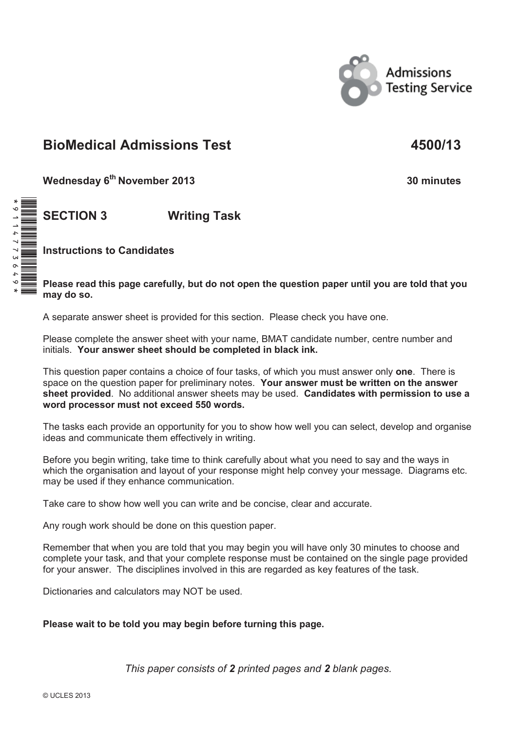

# **BioMedical Admissions Test 4500/13**

**Wednesday 6th November 2013 30 minutes**

**SECTION 3 Writing Task**

**Instructions to Candidates** 

**Please read this page carefully, but do not open the question paper until you are told that you may do so.**

A separate answer sheet is provided for this section. Please check you have one.

Please complete the answer sheet with your name, BMAT candidate number, centre number and initials. **Your answer sheet should be completed in black ink.**

This question paper contains a choice of four tasks, of which you must answer only **one**. There is space on the question paper for preliminary notes. **Your answer must be written on the answer sheet provided**. No additional answer sheets may be used. **Candidates with permission to use a word processor must not exceed 550 words.** 

The tasks each provide an opportunity for you to show how well you can select, develop and organise ideas and communicate them effectively in writing.

Before you begin writing, take time to think carefully about what you need to say and the ways in which the organisation and layout of your response might help convey your message. Diagrams etc. may be used if they enhance communication.

Take care to show how well you can write and be concise, clear and accurate.

Any rough work should be done on this question paper.

Remember that when you are told that you may begin you will have only 30 minutes to choose and complete your task, and that your complete response must be contained on the single page provided for your answer. The disciplines involved in this are regarded as key features of the task.

Dictionaries and calculators may NOT be used.

## **Please wait to be told you may begin before turning this page.**

*This paper consists of 2 printed pages and 2 blank pages.*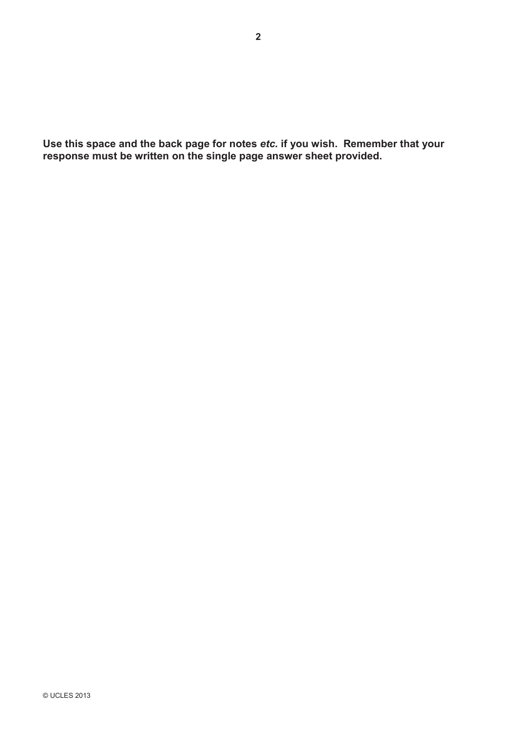**Use this space and the back page for notes** *etc.* **if you wish. Remember that your response must be written on the single page answer sheet provided.**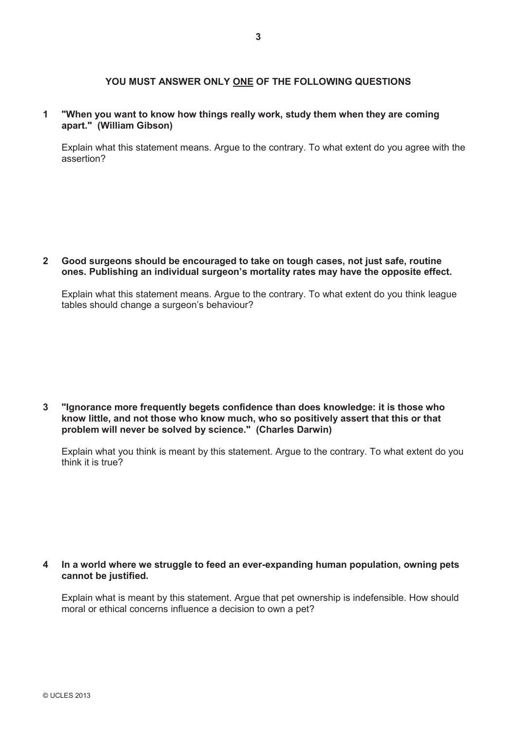### **YOU MUST ANSWER ONLY ONE OF THE FOLLOWING QUESTIONS**

#### **1 "When you want to know how things really work, study them when they are coming apart." (William Gibson)**

Explain what this statement means. Argue to the contrary. To what extent do you agree with the assertion?

**2 Good surgeons should be encouraged to take on tough cases, not just safe, routine ones. Publishing an individual surgeon's mortality rates may have the opposite effect.**

Explain what this statement means. Argue to the contrary. To what extent do you think league tables should change a surgeon's behaviour?

**3 "Ignorance more frequently begets confidence than does knowledge: it is those who know little, and not those who know much, who so positively assert that this or that problem will never be solved by science." (Charles Darwin)**

Explain what you think is meant by this statement. Argue to the contrary. To what extent do you think it is true?

#### **4 In a world where we struggle to feed an ever-expanding human population, owning pets cannot be justified.**

Explain what is meant by this statement. Argue that pet ownership is indefensible. How should moral or ethical concerns influence a decision to own a pet?